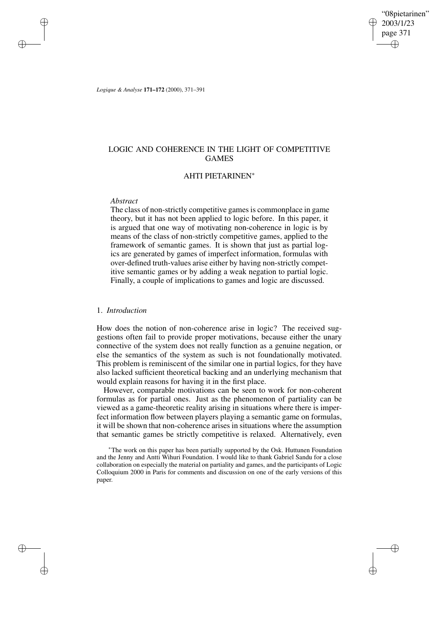"08pietarinen" 2003/1/23 page 371 ✐ ✐

✐

✐

*Logique & Analyse* **171–172** (2000), 371–391

# LOGIC AND COHERENCE IN THE LIGHT OF COMPETITIVE GAMES

## AHTI PIETARINEN<sup>∗</sup>

## *Abstract*

✐

✐

✐

✐

The class of non-strictly competitive games is commonplace in game theory, but it has not been applied to logic before. In this paper, it is argued that one way of motivating non-coherence in logic is by means of the class of non-strictly competitive games, applied to the framework of semantic games. It is shown that just as partial logics are generated by games of imperfect information, formulas with over-defined truth-values arise either by having non-strictly competitive semantic games or by adding a weak negation to partial logic. Finally, a couple of implications to games and logic are discussed.

## 1. *Introduction*

How does the notion of non-coherence arise in logic? The received suggestions often fail to provide proper motivations, because either the unary connective of the system does not really function as a genuine negation, or else the semantics of the system as such is not foundationally motivated. This problem is reminiscent of the similar one in partial logics, for they have also lacked sufficient theoretical backing and an underlying mechanism that would explain reasons for having it in the first place.

However, comparable motivations can be seen to work for non-coherent formulas as for partial ones. Just as the phenomenon of partiality can be viewed as a game-theoretic reality arising in situations where there is imperfect information flow between players playing a semantic game on formulas, it will be shown that non-coherence arises in situations where the assumption that semantic games be strictly competitive is relaxed. Alternatively, even

<sup>∗</sup>The work on this paper has been partially supported by the Osk. Huttunen Foundation and the Jenny and Antti Wihuri Foundation. I would like to thank Gabriel Sandu for a close collaboration on especially the material on partiality and games, and the participants of Logic Colloquium 2000 in Paris for comments and discussion on one of the early versions of this paper.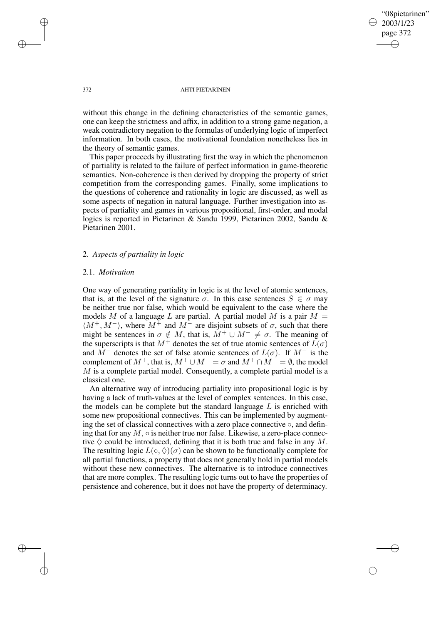"08pietarinen" 2003/1/23 page 372 ✐ ✐

✐

✐

#### 372 AHTI PIETARINEN

without this change in the defining characteristics of the semantic games, one can keep the strictness and affix, in addition to a strong game negation, a weak contradictory negation to the formulas of underlying logic of imperfect information. In both cases, the motivational foundation nonetheless lies in the theory of semantic games.

This paper proceeds by illustrating first the way in which the phenomenon of partiality is related to the failure of perfect information in game-theoretic semantics. Non-coherence is then derived by dropping the property of strict competition from the corresponding games. Finally, some implications to the questions of coherence and rationality in logic are discussed, as well as some aspects of negation in natural language. Further investigation into aspects of partiality and games in various propositional, first-order, and modal logics is reported in Pietarinen & Sandu 1999, Pietarinen 2002, Sandu & Pietarinen 2001.

## 2. *Aspects of partiality in logic*

## 2.1. *Motivation*

One way of generating partiality in logic is at the level of atomic sentences, that is, at the level of the signature  $\sigma$ . In this case sentences  $S \in \sigma$  may be neither true nor false, which would be equivalent to the case where the models M of a language L are partial. A partial model M is a pair  $M =$  $\langle M^+, M^-\rangle$ , where  $M^+$  and  $M^-$  are disjoint subsets of  $\sigma$ , such that there might be sentences in  $\sigma \notin M$ , that is,  $\tilde{M}^+ \cup M^- \neq \sigma$ . The meaning of the superscripts is that  $M^+$  denotes the set of true atomic sentences of  $\tilde{L}(\sigma)$ and  $M^-$  denotes the set of false atomic sentences of  $L(\sigma)$ . If  $M^-$  is the complement of  $M^+$ , that is,  $M^+ \cup M^- = \sigma$  and  $M^+ \cap M^- = \emptyset$ , the model  $M$  is a complete partial model. Consequently, a complete partial model is a classical one.

An alternative way of introducing partiality into propositional logic is by having a lack of truth-values at the level of complex sentences. In this case, the models can be complete but the standard language  $L$  is enriched with some new propositional connectives. This can be implemented by augmenting the set of classical connectives with a zero place connective  $\circ$ , and defining that for any  $M$ ,  $\circ$  is neither true nor false. Likewise, a zero-place connective  $\Diamond$  could be introduced, defining that it is both true and false in any M. The resulting logic  $L(\circ, \Diamond)(\sigma)$  can be shown to be functionally complete for all partial functions, a property that does not generally hold in partial models without these new connectives. The alternative is to introduce connectives that are more complex. The resulting logic turns out to have the properties of persistence and coherence, but it does not have the property of determinacy.

✐

✐

✐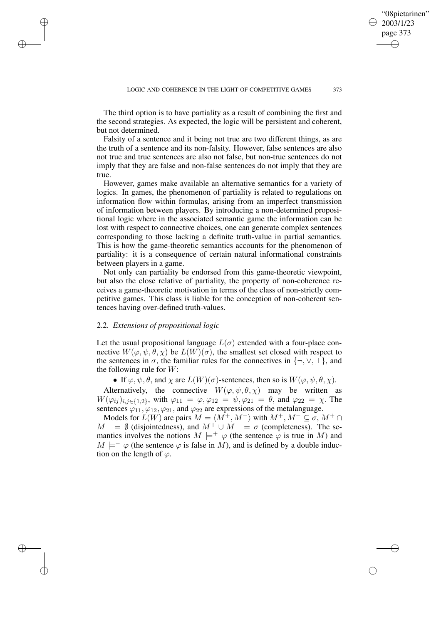The third option is to have partiality as a result of combining the first and the second strategies. As expected, the logic will be persistent and coherent, but not determined.

Falsity of a sentence and it being not true are two different things, as are the truth of a sentence and its non-falsity. However, false sentences are also not true and true sentences are also not false, but non-true sentences do not imply that they are false and non-false sentences do not imply that they are true.

However, games make available an alternative semantics for a variety of logics. In games, the phenomenon of partiality is related to regulations on information flow within formulas, arising from an imperfect transmission of information between players. By introducing a non-determined propositional logic where in the associated semantic game the information can be lost with respect to connective choices, one can generate complex sentences corresponding to those lacking a definite truth-value in partial semantics. This is how the game-theoretic semantics accounts for the phenomenon of partiality: it is a consequence of certain natural informational constraints between players in a game.

Not only can partiality be endorsed from this game-theoretic viewpoint, but also the close relative of partiality, the property of non-coherence receives a game-theoretic motivation in terms of the class of non-strictly competitive games. This class is liable for the conception of non-coherent sentences having over-defined truth-values.

## 2.2. *Extensions of propositional logic*

✐

✐

✐

✐

Let the usual propositional language  $L(\sigma)$  extended with a four-place connective  $W(\varphi, \psi, \theta, \chi)$  be  $L(W)(\sigma)$ , the smallest set closed with respect to the sentences in  $\sigma$ , the familiar rules for the connectives in  $\{\neg, \vee, \top\}$ , and the following rule for  $W$ :

• If  $\varphi, \psi, \theta$ , and  $\chi$  are  $L(W)(\sigma)$ -sentences, then so is  $W(\varphi, \psi, \theta, \chi)$ .

Alternatively, the connective  $W(\varphi, \psi, \theta, \chi)$  may be written as  $W(\varphi_{ij})_{i,j\in\{1,2\}}$ , with  $\varphi_{11} = \varphi, \varphi_{12} = \psi, \varphi_{21} = \theta$ , and  $\varphi_{22} = \chi$ . The sentences  $\varphi_{11}, \varphi_{12}, \varphi_{21}$ , and  $\varphi_{22}$  are expressions of the metalanguage.

Models for  $L(W)$  are pairs  $M = \langle M^+, M^-\rangle$  with  $M^+, M^-\subseteq \sigma$ ,  $M^+\cap$  $M^{-} = \emptyset$  (disjointedness), and  $M^{+} \cup M^{-} = \sigma$  (completeness). The semantics involves the notions  $M \models^+ \varphi$  (the sentence  $\varphi$  is true in M) and  $M \models^- \varphi$  (the sentence  $\varphi$  is false in M), and is defined by a double induction on the length of  $\varphi$ .

"08pietarinen" 2003/1/23 page 373

✐

✐

✐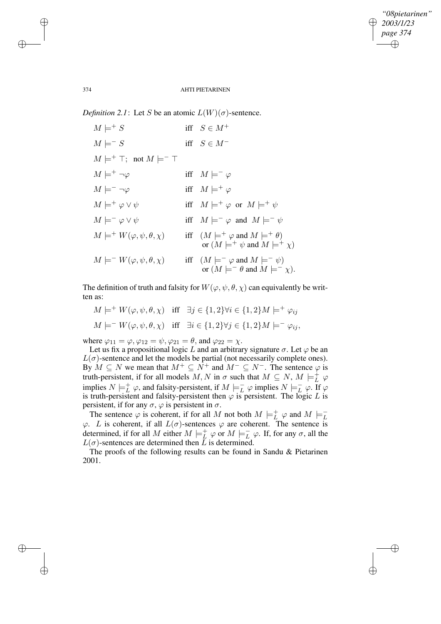✐

#### 374 AHTI PIETARINEN

*Definition* 2.1: Let S be an atomic  $L(W)(\sigma)$ -sentence.

 $M \models^{+} S$  iff  $S \in M^{+}$  $M \models^- S$  iff  $S \in M^ M \models^+ \top; \text{ not } M \models^- \top$  $M \models^+ \neg \varphi$  iff  $M \models^- \varphi$  $M \models^- \neg \varphi$  iff  $M \models^+ \varphi$  $M \models^+ \varphi \vee \psi$  iff  $M \models^+ \varphi$  or  $M \models^+ \psi$  $M \models^- \varphi \lor \psi$  iff  $M \models^- \varphi$  and  $M \models^- \psi$  $M \models^+ W(\varphi, \psi, \theta, \chi)$  iff  $(M \models^+ \varphi \text{ and } M \models^+ \theta)$ or  $(M \models^+ \psi$  and  $M \models^+ \chi)$  $M \models^{-} W(\varphi, \psi, \theta, \chi)$  iff  $(M \models^{-} \varphi \text{ and } M \models^{-} \psi)$ or  $(M \models^- \theta$  and  $M \models^- \chi)$ .

The definition of truth and falsity for  $W(\varphi, \psi, \theta, \chi)$  can equivalently be written as:

$$
M \models^+ W(\varphi, \psi, \theta, \chi) \quad \text{iff} \quad \exists j \in \{1, 2\} \forall i \in \{1, 2\} M \models^+ \varphi_{ij}
$$
\n
$$
M \models^- W(\varphi, \psi, \theta, \chi) \quad \text{iff} \quad \exists i \in \{1, 2\} \forall j \in \{1, 2\} M \models^- \varphi_{ij},
$$

where  $\varphi_{11} = \varphi, \varphi_{12} = \psi, \varphi_{21} = \theta$ , and  $\varphi_{22} = \chi$ .

Let us fix a propositional logic L and an arbitrary signature  $\sigma$ . Let  $\varphi$  be an  $L(\sigma)$ -sentence and let the models be partial (not necessarily complete ones). By  $M \subseteq N$  we mean that  $M^+ \subseteq \overline{N^+}$  and  $M^- \subseteq N^-$ . The sentence  $\varphi$  is truth-persistent, if for all models  $M, N$  in  $\sigma$  such that  $M \subseteq N, M \models^{\dagger}_L \varphi$ implies  $N \models_L^+ \varphi$ , and falsity-persistent, if  $M \models_L^- \varphi$  implies  $N \models_L^- \varphi$ . If  $\varphi$ is truth-persistent and falsity-persistent then  $\varphi$  is persistent. The logic L is persistent, if for any  $\sigma$ ,  $\varphi$  is persistent in  $\sigma$ .

The sentence  $\varphi$  is coherent, if for all M not both  $M \models^+_L \varphi$  and  $M \models^-_L \varphi$ .<br>  $\psi$ . L is coherent, if all  $L(\sigma)$ -sentences  $\varphi$  are coherent. The sentence is determined, if for all M either  $M \models^+_{L} \varphi$  or  $M \models^-_{L} \varphi$ . If, for any  $\sigma$ , all the  $L(\sigma)$ -sentences are determined then L is determined.

The proofs of the following results can be found in Sandu & Pietarinen 2001.

✐

✐

✐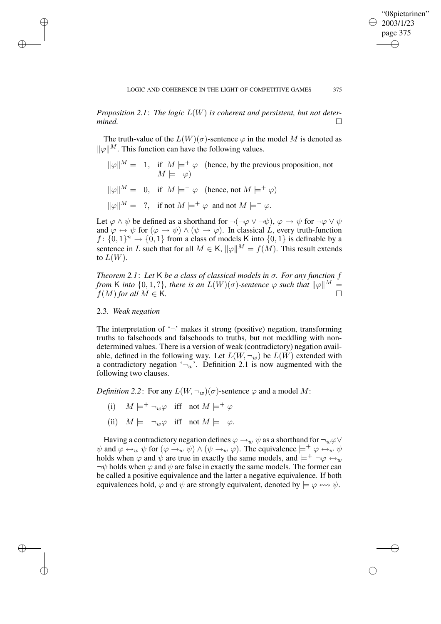"08pietarinen" 2003/1/23 page 375

✐

✐

✐

✐

*Proposition* 2.1: *The logic*  $L(W)$  *is coherent and persistent, but not determined. mined.*

The truth-value of the  $L(W)(\sigma)$ -sentence  $\varphi$  in the model M is denoted as  $\|\varphi\|^M$ . This function can have the following values.

- $\|\varphi\|^M = 1$ , if  $M \models^+ \varphi$  (hence, by the previous proposition, not  $M \models^- \varphi)$
- $\|\varphi\|^M = 0$ , if  $M \models^+ \varphi$  (hence, not  $M \models^+ \varphi$ )
- $\|\varphi\|^M = ?$ , if not  $M \models^+ \varphi$  and not  $M \models^- \varphi$ .

Let  $\varphi \wedge \psi$  be defined as a shorthand for  $\neg(\neg \varphi \vee \neg \psi)$ ,  $\varphi \rightarrow \psi$  for  $\neg \varphi \vee \psi$ and  $\varphi \leftrightarrow \psi$  for  $(\varphi \rightarrow \psi) \land (\psi \rightarrow \varphi)$ . In classical L, every truth-function  $f: \{0,1\}^n \rightarrow \{0,1\}$  from a class of models K into  $\{0,1\}$  is definable by a sentence in L such that for all  $M \in K$ ,  $\|\varphi\|^M = f(M)$ . This result extends to  $L(W)$ .

*Theorem 2.1*: *Let* K *be a class of classical models in* σ*. For any function* f *from* K *into*  $\{0, 1, ?\}$ *, there is an*  $L(W)(\sigma)$ *-sentence*  $\varphi$  *such that*  $\|\varphi\|^M =$  $f(M)$  *for all*  $M \in \mathsf{K}$ .

## 2.3. *Weak negation*

✐

✐

✐

✐

The interpretation of  $\sim$  makes it strong (positive) negation, transforming truths to falsehoods and falsehoods to truths, but not meddling with nondetermined values. There is a version of weak (contradictory) negation available, defined in the following way. Let  $L(W, \neg_w)$  be  $L(W)$  extended with a contradictory negation  $\neg w$ . Definition 2.1 is now augmented with the following two clauses.

*Definition* 2.2: For any  $L(W, \neg_w)(\sigma)$ -sentence  $\varphi$  and a model M:

- (i)  $M \models^+ \neg w\varphi$  iff not  $M \models^+ \varphi$
- (ii)  $M \models^- \neg w \varphi$  iff not  $M \models^- \varphi$ .

Having a contradictory negation defines  $\varphi \rightarrow_w \psi$  as a shorthand for  $\neg_w \varphi \vee$  $\psi$  and  $\varphi \leftrightarrow_w \psi$  for  $(\varphi \rightarrow_w \psi) \land (\psi \rightarrow_w \varphi)$ . The equivalence  $\models^+ \varphi \leftrightarrow_w \psi$ holds when  $\varphi$  and  $\psi$  are true in exactly the same models, and  $\models^+ \neg \varphi \leftrightarrow_w$  $\neg \psi$  holds when  $\varphi$  and  $\psi$  are false in exactly the same models. The former can be called a positive equivalence and the latter a negative equivalence. If both equivalences hold,  $\varphi$  and  $\psi$  are strongly equivalent, denoted by  $\models \varphi \leftrightarrow \psi$ .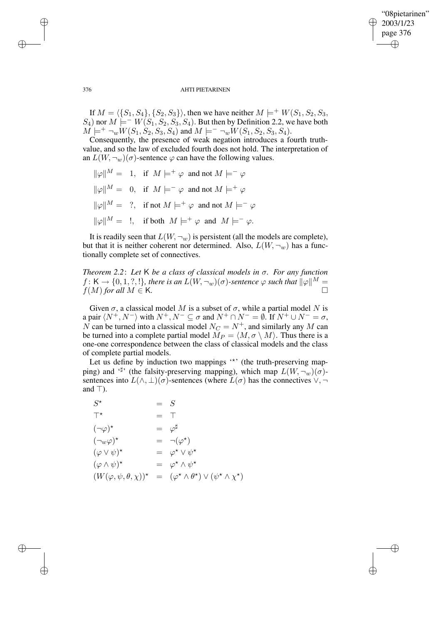✐

#### 376 AHTI PIETARINEN

If  $M = \langle \{S_1, S_4\}, \{S_2, S_3\} \rangle$ , then we have neither  $M \models^+ W(S_1, S_2, S_3, S_4)$  $(S_4)$  nor  $M \models^- W(S_1, S_2, S_3, S_4)$ . But then by Definition 2.2, we have both  $M \models^{+} \neg_w W(S_1, S_2, S_3, S_4)$  and  $M \models^{-} \neg_w W(S_1, S_2, S_3, S_4)$ .

Consequently, the presence of weak negation introduces a fourth truthvalue, and so the law of excluded fourth does not hold. The interpretation of an  $L(W, \neg_w)(\sigma)$ -sentence  $\varphi$  can have the following values.

 $\|\varphi\|^M = 1$ , if  $M \models^+ \varphi$  and not  $M \models^- \varphi$  $\|\varphi\|^M = 0$ , if  $M \models^-\varphi$  and not  $M \models^+\varphi$  $\|\varphi\|^M = ?$ , if not  $M \models^+ \varphi$  and not  $M \models^- \varphi$  $\|\varphi\|^M =$  !, if both  $M \models^+ \varphi$  and  $M \models^- \varphi$ .

It is readily seen that  $L(W, \neg_w)$  is persistent (all the models are complete), but that it is neither coherent nor determined. Also,  $L(W, \neg_w)$  has a functionally complete set of connectives.

*Theorem 2.2*: *Let* K *be a class of classical models in* σ*. For any function*  $f \colon \mathsf{K} \to \{0,1,?,!\}$ , there is an  $L(W,\neg_w)(\sigma)$ -sentence  $\varphi$  such that  $\|\varphi\|^M = \emptyset$  $f(M)$  *for all*  $M \in \mathsf{K}$ *.*  $\Box$ 

Given  $\sigma$ , a classical model M is a subset of  $\sigma$ , while a partial model N is a pair  $\langle N^+, N^- \rangle$  with  $N^+, N^- \subseteq \sigma$  and  $N^+ \cap N^- = \emptyset$ . If  $N^+ \cup N^- = \sigma$ , N can be turned into a classical model  $N_C = N^+$ , and similarly any M can be turned into a complete partial model  $M_P = \langle M, \sigma \setminus M \rangle$ . Thus there is a one-one correspondence between the class of classical models and the class of complete partial models.

Let us define by induction two mappings "\*" (the truth-preserving mapping) and '<sup>#</sup>' (the falsity-preserving mapping), which map  $L(W, \neg_w)(\sigma)$ sentences into  $L(\wedge, \perp)(\sigma)$ -sentences (where  $L(\sigma)$  has the connectives  $\vee, \neg$ and  $\top$ ).

| $S^{\star}$                                     | $=$ $S$ |                                                             |
|-------------------------------------------------|---------|-------------------------------------------------------------|
| $T^{\star}$                                     | $=$ T   |                                                             |
| $(\neg\varphi)^{\star}$                         |         | $=$ $\varphi^{\sharp}$                                      |
| $(\neg_w \varphi)^*$                            |         | $= \neg(\varphi^{\star})$                                   |
| $(\varphi \vee \psi)^{\star}$                   |         | $= \varphi^* \vee \psi^*$                                   |
| $(\varphi \wedge \psi)^{\star}$                 |         | $= \varphi^* \wedge \psi^*$                                 |
| $(W(\varphi, \psi, \theta, \chi))$ <sup>*</sup> |         | $= (\varphi^* \wedge \theta^*) \vee (\psi^* \wedge \chi^*)$ |

✐

✐

✐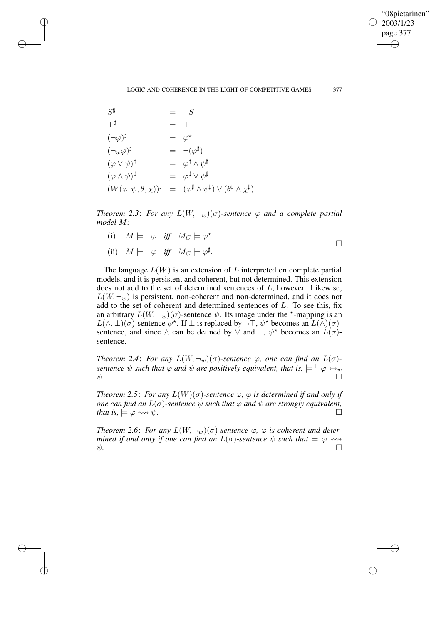$\bigoplus$ 

✐

## LOGIC AND COHERENCE IN THE LIGHT OF COMPETITIVE GAMES 377

| $S^{\sharp}$                                |             | $= \neg S$                                                                               |
|---------------------------------------------|-------------|------------------------------------------------------------------------------------------|
| $\top^{\sharp}$                             | $=$ $\perp$ |                                                                                          |
| $(\neg\varphi)^\sharp$                      |             | $= \varphi^{\star}$                                                                      |
| $(\neg_w \varphi)^\sharp$                   |             | $= \neg(\varphi^{\sharp})$                                                               |
| $(\varphi \vee \psi)^\sharp$                |             | $= \varphi^{\sharp} \wedge \psi^{\sharp}$                                                |
| $(\varphi \wedge \psi)^{\sharp}$            |             | $= \varphi^{\sharp} \vee \psi^{\sharp}$                                                  |
| $(W(\varphi, \psi, \theta, \chi))^{\sharp}$ |             | $= (\varphi^{\sharp} \wedge \psi^{\sharp}) \vee (\theta^{\sharp} \wedge \chi^{\sharp}).$ |

✐

✐

✐

✐

*Theorem* 2.3: *For any*  $L(W, \neg_w)(\sigma)$ -sentence  $\varphi$  *and a complete partial model* M*:*

(i)  $M \models^+ \varphi \text{ iff } M_C \models \varphi^*$ (ii)  $M \models^- \varphi \text{ iff } M_C \models \varphi^{\sharp}.$  $\Box$ 

The language  $L(W)$  is an extension of L interpreted on complete partial models, and it is persistent and coherent, but not determined. This extension does not add to the set of determined sentences of L, however. Likewise,  $L(W, \neg_w)$  is persistent, non-coherent and non-determined, and it does not add to the set of coherent and determined sentences of  $L$ . To see this, fix an arbitrary  $L(W, \neg_w)(\sigma)$ -sentence  $\psi$ . Its image under the \*-mapping is an  $L(\wedge, \perp)(\sigma)$ -sentence  $\psi^*$ . If  $\perp$  is replaced by  $\neg \top$ ,  $\psi^*$  becomes an  $L(\wedge)(\sigma)$ sentence, and since  $\wedge$  can be defined by  $\vee$  and  $\neg$ ,  $\psi^*$  becomes an  $\hat{L}(\sigma)$ sentence.

*Theorem* 2.4: *For any*  $L(W, \neg_w)(\sigma)$ -sentence  $\varphi$ , one can find an  $L(\sigma)$ *sentence*  $\psi$  *such that*  $\varphi$  *and*  $\psi$  *are positively equivalent, that is,*  $\models^{+} \varphi \leftrightarrow_{w} \Box$ <br> $\psi$ .  $\psi$ .

*Theorem* 2.5: *For any*  $L(W)(\sigma)$ -sentence  $\varphi$ ,  $\varphi$  *is determined if and only if one can find an*  $L(\sigma)$ -sentence  $\psi$  *such that*  $\varphi$  *and*  $\psi$  *are strongly equivalent, that is,*  $\models \varphi \leftrightarrow \psi$ .

*Theorem* 2.6: *For any*  $L(W, \neg_w)(\sigma)$ -sentence  $\varphi$ ,  $\varphi$  *is coherent and determined if* and only *if* one can find an  $L(\sigma)$ -sentence  $\psi$  such that  $\models \varphi \leftrightarrow$  $\psi$ .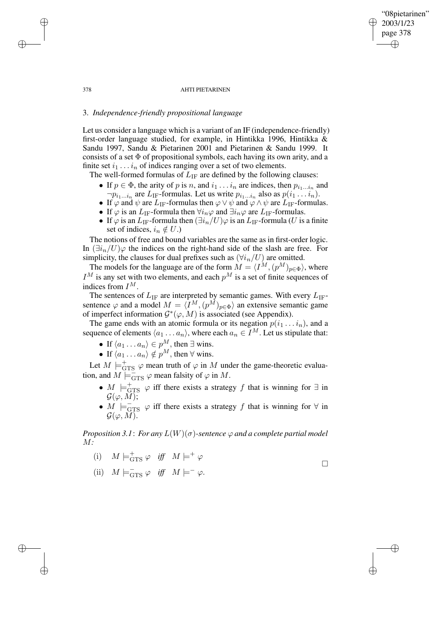## "08pietarinen" 2003/1/23 page 378 ✐ ✐

✐

✐

 $\Box$ 

#### 378 AHTI PIETARINEN

# 3. *Independence-friendly propositional language*

✐

✐

✐

✐

Let us consider a language which is a variant of an IF (independence-friendly) first-order language studied, for example, in Hintikka 1996, Hintikka & Sandu 1997, Sandu & Pietarinen 2001 and Pietarinen & Sandu 1999. It consists of a set Φ of propositional symbols, each having its own arity, and a finite set  $i_1 \ldots i_n$  of indices ranging over a set of two elements.

The well-formed formulas of  $L_{IF}$  are defined by the following clauses:

- If  $p \in \Phi$ , the arity of p is n, and  $i_1 \ldots i_n$  are indices, then  $p_{i_1 \ldots i_n}$  and  $\neg p_{i_1...i_n}$  are  $L_{IF}$ -formulas. Let us write  $p_{i_1...i_n}$  also as  $p(i_1...i_n)$ .
- If  $\varphi$  and  $\psi$  are  $L_{IF}$ -formulas then  $\varphi \lor \psi$  and  $\varphi \land \psi$  are  $L_{IF}$ -formulas.
- If  $\varphi$  is an  $L_{\text{IF}}$ -formula then  $\forall i_n \varphi$  and  $\exists i_n \varphi$  are  $L_{\text{IF}}$ -formulas.
- If  $\varphi$  is an  $L_{\text{IF}}$ -formula then  $(\exists i_n/U)\varphi$  is an  $L_{\text{IF}}$ -formula (U is a finite set of indices,  $i_n \notin U$ .)

The notions of free and bound variables are the same as in first-order logic. In  $(\exists i_n/U)\varphi$  the indices on the right-hand side of the slash are free. For simplicity, the clauses for dual prefixes such as  $(\forall i_n/U)$  are omitted.

The models for the language are of the form  $M = \langle I^M,(p^M)_{p \in \Phi} \rangle$ , where  $I^M$  is any set with two elements, and each  $p^M$  is a set of finite sequences of indices from  $I^M$ .

The sentences of  $L_{IF}$  are interpreted by semantic games. With every  $L_{IF}$ sentence  $\varphi$  and a model  $M = \langle I^M, (p^M)_{p \in \Phi} \rangle$  an extensive semantic game of imperfect information  $\mathcal{G}^*(\varphi, M)$  is associated (see Appendix).

The game ends with an atomic formula or its negation  $p(i_1 \ldots i_n)$ , and a sequence of elements  $\langle a_1 \dots a_n \rangle$ , where each  $a_n \in I^M$ . Let us stipulate that:

- If  $\langle a_1 \dots a_n \rangle \in p^M$ , then  $\exists$  wins.
- If  $\langle a_1 \dots a_n \rangle \notin p^M$ , then  $\forall$  wins.

Let  $M \models_{\text{GTS}}^+ \varphi$  mean truth of  $\varphi$  in M under the game-theoretic evaluation, and  $M \models_{\text{GTS}}^- \varphi$  mean falsity of  $\varphi$  in M.

- $M \models_{\text{GTS}}^+ \varphi$  iff there exists a strategy f that is winning for  $\exists$  in  $\mathcal{G}(\varphi, \tilde{M});$
- $\overline{M}$   $\models$   $\overline{_{\text{GTS}}}$   $\varphi$  iff there exists a strategy f that is winning for  $\forall$  in  ${\cal G}(\varphi,M).$

*Proposition* 3.1: *For any*  $L(W)(\sigma)$ -sentence  $\varphi$  *and a complete partial model* M*:*

- (i)  $M \models_{\text{GTS}}^+ \varphi \text{ iff } M \models^+ \varphi$
- (ii)  $M \models_{\text{GTS}}^- \varphi \text{ iff } M \models^-\varphi.$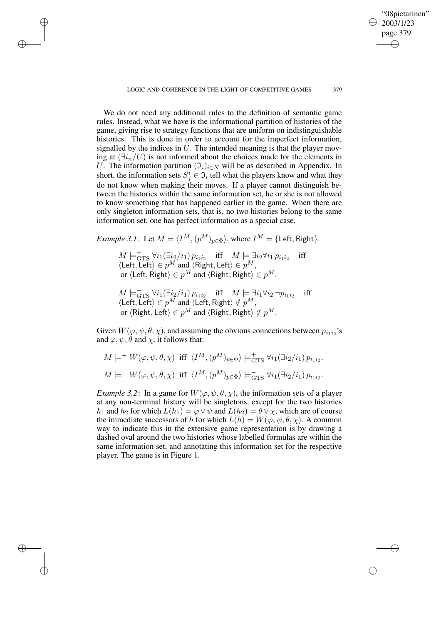LOGIC AND COHERENCE IN THE LIGHT OF COMPETITIVE GAMES 379

✐

✐

✐

✐

"08pietarinen" 2003/1/23 page 379

✐

✐

✐

✐

We do not need any additional rules to the definition of semantic game rules. Instead, what we have is the informational partition of histories of the game, giving rise to strategy functions that are uniform on indistinguishable histories. This is done in order to account for the imperfect information, signalled by the indices in  $U$ . The intended meaning is that the player moving at  $(\exists i_n/U)$  is not informed about the choices made for the elements in U. The information partition  $(\mathfrak{I}_i)_{i\in N}$  will be as described in Appendix. In short, the information sets  $S_j^i \in \mathfrak{I}_i$  tell what the players know and what they do not know when making their moves. If a player cannot distinguish between the histories within the same information set, he or she is not allowed to know something that has happened earlier in the game. When there are only singleton information sets, that is, no two histories belong to the same information set, one has perfect information as a special case.

*Example* 3.1: Let  $M = \langle I^M, (p^M)_{p \in \Phi} \rangle$ , where  $I^M = \{\text{Left}, \text{Right}\}.$ 

 $M \models_{\text{GTS}}^+ \forall i_1 (\exists i_2/i_1) p_{i_1 i_2} \quad \text{iff} \quad M \models \exists i_2 \forall i_1 p_{i_1 i_2}$ iff  $\langle \text{Left}, \text{Left} \rangle \in p^M$  and  $\langle \text{Right}, \text{Left} \rangle \in p^M$ , or  $\langle$ Left, Right $\rangle \in p^{M}$  and  $\langle$ Right, Right $\rangle \in p^{M}.$ 

 $M \models_{\text{GTS}}^{\rightharpoonup} \forall i_1 (\exists i_2/i_1) p_{i_1 i_2} \quad \text{iff} \quad M \models \exists i_1 \forall i_2 \neg p_{i_1 i_2}$ iff  $\langle \text{Left}, \overline{\text{Left}} \rangle \in p^M$  and  $\langle \text{Left}, \text{Right} \rangle \notin p^M$ , or  $\langle$ Right, Left $\rangle\in p^{M}$  and  $\langle$ Right, Right $\rangle\notin p^{M}.$ 

Given  $W(\varphi, \psi, \theta, \chi)$ , and assuming the obvious connections between  $p_{i_1 i_2}$ 's and  $\varphi, \psi, \theta$  and  $\chi$ , it follows that:

$$
M \models^+ W(\varphi, \psi, \theta, \chi) \text{ iff } \langle I^M, (p^M)_{p \in \Phi} \rangle \models^+_{\text{GTS}} \forall i_1 (\exists i_2/i_1) p_{i_1 i_2}.
$$
  

$$
M \models^- W(\varphi, \psi, \theta, \chi) \text{ iff } \langle I^M, (p^M)_{p \in \Phi} \rangle \models^-_{\text{GTS}} \forall i_1 (\exists i_2/i_1) p_{i_1 i_2}.
$$

*Example* 3.2: In a game for  $W(\varphi, \psi, \theta, \chi)$ , the information sets of a player at any non-terminal history will be singletons, except for the two histories  $h_1$  and  $h_2$  for which  $L(h_1) = \varphi \vee \psi$  and  $L(h_2) = \theta \vee \chi$ , which are of course the immediate successors of h for which  $L(h) = W(\varphi, \psi, \theta, \chi)$ . A common way to indicate this in the extensive game representation is by drawing a dashed oval around the two histories whose labelled formulas are within the same information set, and annotating this information set for the respective player. The game is in Figure 1.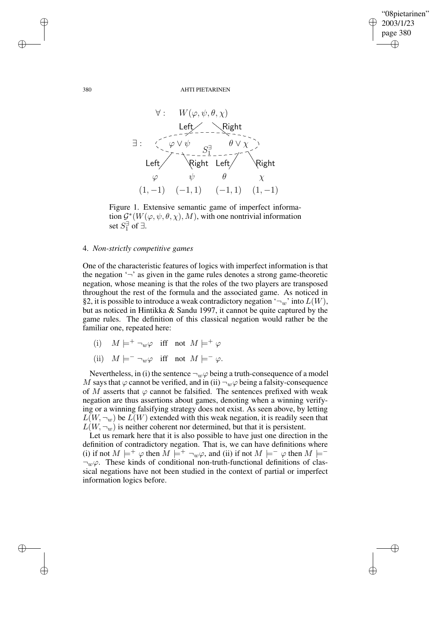$\oplus$ 

✐

380 AHTI PIETARINEN



Figure 1. Extensive semantic game of imperfect information  $\mathcal{G}^*(W(\varphi,\psi,\theta,\chi),M)$ , with one nontrivial information set  $S_1^{\exists}$  of  $\exists$ .

## 4. *Non-strictly competitive games*

One of the characteristic features of logics with imperfect information is that the negation  $\sim$  as given in the game rules denotes a strong game-theoretic negation, whose meaning is that the roles of the two players are transposed throughout the rest of the formula and the associated game. As noticed in §2, it is possible to introduce a weak contradictory negation  $\lnot_w$  into  $L(W)$ , but as noticed in Hintikka & Sandu 1997, it cannot be quite captured by the game rules. The definition of this classical negation would rather be the familiar one, repeated here:

- (i)  $M \models^+ \neg w\varphi$  iff not  $M \models^+ \varphi$
- (ii)  $M \models^- \neg_w \varphi$  iff not  $M \models^- \varphi$ .

Nevertheless, in (i) the sentence  $\neg_w \varphi$  being a truth-consequence of a model M says that  $\varphi$  cannot be verified, and in (ii)  $\neg_w \varphi$  being a falsity-consequence of M asserts that  $\varphi$  cannot be falsified. The sentences prefixed with weak negation are thus assertions about games, denoting when a winning verifying or a winning falsifying strategy does not exist. As seen above, by letting  $L(W, \neg_w)$  be  $L(W)$  extended with this weak negation, it is readily seen that  $L(W, \neg_w)$  is neither coherent nor determined, but that it is persistent.

Let us remark here that it is also possible to have just one direction in the definition of contradictory negation. That is, we can have definitions where (i) if not  $M \models^+ \varphi$  then  $M \models^+ \neg_w \varphi$ , and (ii) if not  $M \models^- \varphi$  then  $M \models^ \neg_w \varphi$ . These kinds of conditional non-truth-functional definitions of classical negations have not been studied in the context of partial or imperfect information logics before.

✐

✐

✐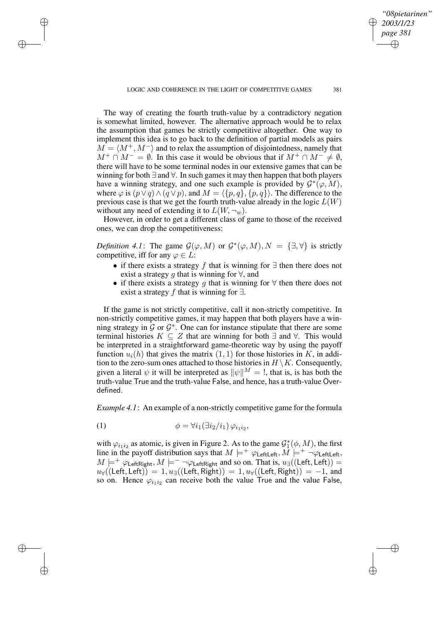✐

✐

✐

*"08pietarinen" 2003/1/23 page 381*

✐

✐

✐

✐

The way of creating the fourth truth-value by a contradictory negation is somewhat limited, however. The alternative approach would be to relax the assumption that games be strictly competitive altogether. One way to implement this idea is to go back to the definition of partial models as pairs  $M = \langle M^+, M^-\rangle$  and to relax the assumption of disjointedness, namely that  $M^+ \cap M^- = \emptyset$ . In this case it would be obvious that if  $M^+ \cap M^- \neq \emptyset$ , there will have to be some terminal nodes in our extensive games that can be winning for both ∃ and ∀. In such games it may then happen that both players have a winning strategy, and one such example is provided by  $G^*(\varphi, M)$ , where  $\varphi$  is  $(p \vee q) \wedge (q \vee p)$ , and  $M = \langle \{p, q\}, \{p, q\}\rangle$ . The difference to the previous case is that we get the fourth truth-value already in the logic  $L(W)$ without any need of extending it to  $L(W, \neg_w)$ .

However, in order to get a different class of game to those of the received ones, we can drop the competitiveness:

*Definition* 4.1: The game  $\mathcal{G}(\varphi, M)$  or  $\mathcal{G}^*(\varphi, M), N = {\exists, \forall}$  is strictly competitive, iff for any  $\varphi \in L$ :

- if there exists a strategy f that is winning for  $\exists$  then there does not exist a strategy g that is winning for  $\forall$ , and
- if there exists a strategy g that is winning for  $\forall$  then there does not exist a strategy f that is winning for  $\exists$ .

If the game is not strictly competitive, call it non-strictly competitive. In non-strictly competitive games, it may happen that both players have a winning strategy in  $\mathcal G$  or  $\mathcal G^*$ . One can for instance stipulate that there are some terminal histories  $K \subseteq Z$  that are winning for both  $\exists$  and  $\forall$ . This would be interpreted in a straightforward game-theoretic way by using the payoff function  $u_i(h)$  that gives the matrix  $(1, 1)$  for those histories in K, in addition to the zero-sum ones attached to those histories in  $H \setminus K$ . Consequently, given a literal  $\psi$  it will be interpreted as  $\|\psi\|^M = \xi$ , that is, is has both the truth-value True and the truth-value False, and hence, has a truth-value Overdefined.

*Example* 4.1: An example of a non-strictly competitive game for the formula

$$
\phi = \forall i_1 (\exists i_2/i_1) \, \varphi_{i_1 i_2},
$$

with  $\varphi_{i_1 i_2}$  as atomic, is given in Figure 2. As to the game  $\mathcal{G}_1^*(\phi, M)$ , the first line in the payoff distribution says that  $M \models^+ \varphi_{\text{LeftLeft}}$ ,  $M \models^+ \neg \varphi_{\text{LeftLeft}}$ ,  $M \models^+ \varphi_{\mathsf{LeftRight}}, M \models^- \neg \varphi_{\mathsf{LeftRight}}$  and so on. That is,  $u_{\exists}((\mathsf{Left}, \mathsf{Left})) =$  $u_{\forall}((\text{Left}, \text{Left})) = 1, u_{\exists}((\text{Left}, \text{Right})) = 1, u_{\forall}((\text{Left}, \text{Right})) = -1, \text{ and}$ so on. Hence  $\varphi_{i_1 i_2}$  can receive both the value True and the value False,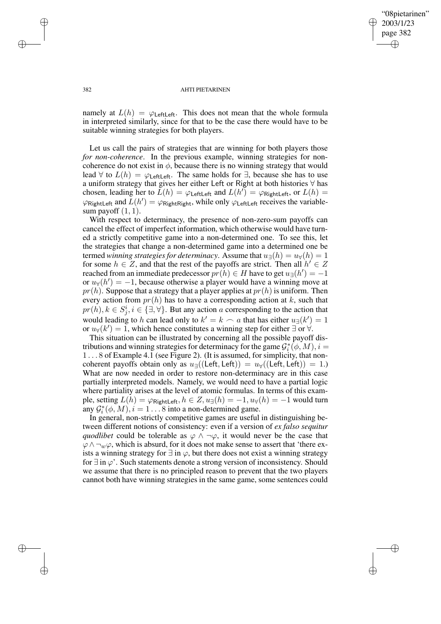✐

#### 382 AHTI PIETARINEN

namely at  $L(h) = \varphi_{\text{LeftLeft}}$ . This does not mean that the whole formula in interpreted similarly, since for that to be the case there would have to be suitable winning strategies for both players.

Let us call the pairs of strategies that are winning for both players those *for non-coherence*. In the previous example, winning strategies for noncoherence do not exist in  $\phi$ , because there is no winning strategy that would lead  $\forall$  to  $L(h) = \varphi_{\text{LeftLeft}}$ . The same holds for  $\exists$ , because she has to use a uniform strategy that gives her either Left or Right at both histories ∀ has chosen, leading her to  $\bar{L}(h) = \varphi_{\text{LeftLeft}}$  and  $L(h') = \varphi_{\text{RightLeft}}$ , or  $L(h) =$  $\varphi$ RightLeft and  $L(h') = \varphi$ RightRight, while only  $\varphi$ LeftLeft receives the variablesum payoff  $(1, 1)$ .

With respect to determinacy, the presence of non-zero-sum payoffs can cancel the effect of imperfect information, which otherwise would have turned a strictly competitive game into a non-determined one. To see this, let the strategies that change a non-determined game into a determined one be termed *winning strategies for determinacy*. Assume that  $u_{\exists}(h) = u_{\forall}(h) = 1$ for some  $h \in \mathbb{Z}$ , and that the rest of the payoffs are strict. Then all  $h' \in \mathbb{Z}$ reached from an immediate predecessor  $\overline{pr(h)} \in H$  have to get  $u_{\exists}(h') = -1$ or  $u_{\forall}(h') = -1$ , because otherwise a player would have a winning move at  $pr(h)$ . Suppose that a strategy that a player applies at  $pr(h)$  is uniform. Then every action from  $pr(h)$  has to have a corresponding action at k, such that  $pr(h), k \in S_j^i, i \in \{\exists, \forall\}$ . But any action a corresponding to the action that would leading to h can lead only to  $k' = k \frown a$  that has either  $u_{\exists}(k') = 1$ or  $u_{\forall}(k') = 1$ , which hence constitutes a winning step for either  $\exists$  or  $\forall$ .

This situation can be illustrated by concerning all the possible payoff distributions and winning strategies for determinacy for the game  $\mathcal{G}_i^*(\phi, M), i =$ 1 . . . 8 of Example 4.1 (see Figure 2). (It is assumed, for simplicity, that noncoherent payoffs obtain only as  $u_{\exists}((\text{Left}, \text{Left})) = u_{\forall}((\text{Left}, \text{Left})) = 1)$ . What are now needed in order to restore non-determinacy are in this case partially interpreted models. Namely, we would need to have a partial logic where partiality arises at the level of atomic formulas. In terms of this example, setting  $L(h) = \varphi_{\text{RightLeft}}, h \in Z, u_{\exists}(h) = -1, u_{\forall}(h) = -1$  would turn any  $G_i^*(\phi, M), i = 1...8$  into a non-determined game.

In general, non-strictly competitive games are useful in distinguishing between different notions of consistency: even if a version of *ex falso sequitur quodlibet* could be tolerable as  $\varphi \wedge \neg \varphi$ , it would never be the case that  $\varphi \wedge \neg_w \varphi$ , which is absurd, for it does not make sense to assert that 'there exists a winning strategy for  $\exists$  in  $\varphi$ , but there does not exist a winning strategy for  $\exists$  in  $\varphi'$ . Such statements denote a strong version of inconsistency. Should we assume that there is no principled reason to prevent that the two players cannot both have winning strategies in the same game, some sentences could

✐

✐

✐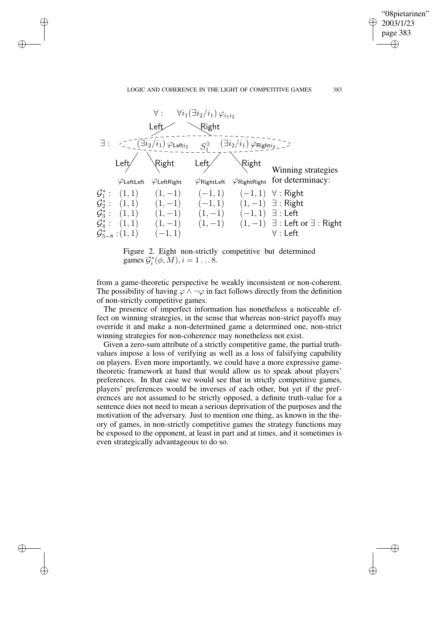### LOGIC AND COHERENCE IN THE LIGHT OF COMPETITIVE GAMES 383

✐

✐

✐

✐

"08pietarinen" 2003/1/23 page 383

✐

✐

✐

✐



Figure 2. Eight non-strictly competitive but determined games  $G_i^*(\phi, M), i = 1 \dots 8$ .

from a game-theoretic perspective be weakly inconsistent or non-coherent. The possibility of having  $\varphi \wedge \neg \varphi$  in fact follows directly from the definition of non-strictly competitive games.

The presence of imperfect information has nonetheless a noticeable effect on winning strategies, in the sense that whereas non-strict payoffs may override it and make a non-determined game a determined one, non-strict winning strategies for non-coherence may nonetheless not exist.

Given a zero-sum attribute of a strictly competitive game, the partial truthvalues impose a loss of verifying as well as a loss of falsifying capability on players. Even more importantly, we could have a more expressive gametheoretic framework at hand that would allow us to speak about players' preferences. In that case we would see that in strictly competitive games, players' preferences would be inverses of each other, but yet if the preferences are not assumed to be strictly opposed, a definite truth-value for a sentence does not need to mean a serious deprivation of the purposes and the motivation of the adversary. Just to mention one thing, as known in the theory of games, in non-strictly competitive games the strategy functions may be exposed to the opponent, at least in part and at times, and it sometimes is even strategically advantageous to do so.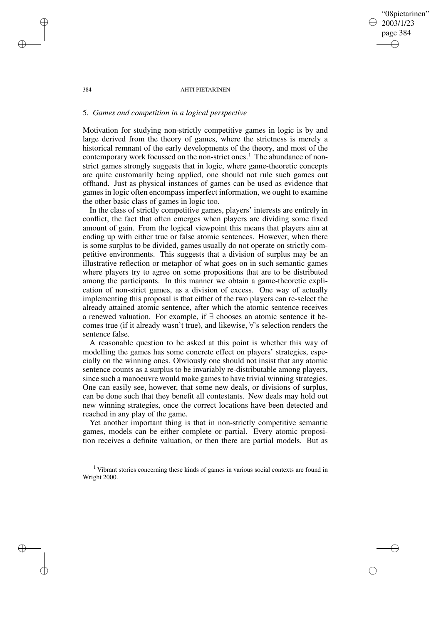"08pietarinen" 2003/1/23 page 384 ✐ ✐

✐

✐

#### 384 AHTI PIETARINEN

## 5. *Games and competition in a logical perspective*

Motivation for studying non-strictly competitive games in logic is by and large derived from the theory of games, where the strictness is merely a historical remnant of the early developments of the theory, and most of the contemporary work focussed on the non-strict ones.<sup>1</sup> The abundance of nonstrict games strongly suggests that in logic, where game-theoretic concepts are quite customarily being applied, one should not rule such games out offhand. Just as physical instances of games can be used as evidence that games in logic often encompass imperfect information, we ought to examine the other basic class of games in logic too.

In the class of strictly competitive games, players' interests are entirely in conflict, the fact that often emerges when players are dividing some fixed amount of gain. From the logical viewpoint this means that players aim at ending up with either true or false atomic sentences. However, when there is some surplus to be divided, games usually do not operate on strictly competitive environments. This suggests that a division of surplus may be an illustrative reflection or metaphor of what goes on in such semantic games where players try to agree on some propositions that are to be distributed among the participants. In this manner we obtain a game-theoretic explication of non-strict games, as a division of excess. One way of actually implementing this proposal is that either of the two players can re-select the already attained atomic sentence, after which the atomic sentence receives a renewed valuation. For example, if ∃ chooses an atomic sentence it becomes true (if it already wasn't true), and likewise, ∀'s selection renders the sentence false.

A reasonable question to be asked at this point is whether this way of modelling the games has some concrete effect on players' strategies, especially on the winning ones. Obviously one should not insist that any atomic sentence counts as a surplus to be invariably re-distributable among players, since such a manoeuvre would make games to have trivial winning strategies. One can easily see, however, that some new deals, or divisions of surplus, can be done such that they benefit all contestants. New deals may hold out new winning strategies, once the correct locations have been detected and reached in any play of the game.

Yet another important thing is that in non-strictly competitive semantic games, models can be either complete or partial. Every atomic proposition receives a definite valuation, or then there are partial models. But as

<sup>1</sup> Vibrant stories concerning these kinds of games in various social contexts are found in Wright 2000.

✐

✐

✐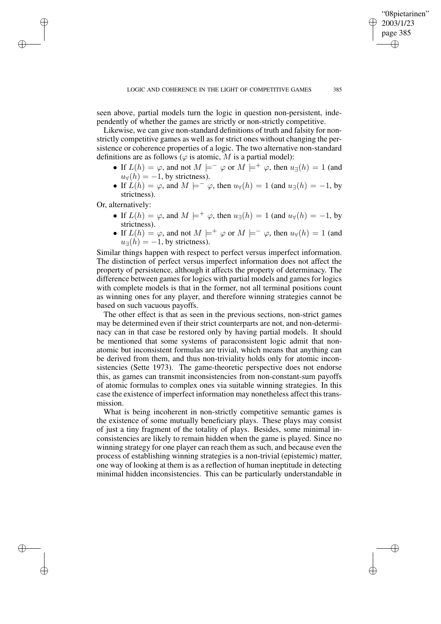seen above, partial models turn the logic in question non-persistent, independently of whether the games are strictly or non-strictly competitive.

Likewise, we can give non-standard definitions of truth and falsity for nonstrictly competitive games as well as for strict ones without changing the persistence or coherence properties of a logic. The two alternative non-standard definitions are as follows ( $\varphi$  is atomic, M is a partial model):

- If  $L(h) = \varphi$ , and not  $M \models^- \varphi$  or  $M \models^+ \varphi$ , then  $u_{\exists}(h) = 1$  (and  $u_{\forall}(h) = -1$ , by strictness).
- If  $L(h) = \varphi$ , and  $M \models^- \varphi$ , then  $u_\forall(h) = 1$  (and  $u_{\exists}(h) = -1$ , by strictness).

Or, alternatively:

✐

✐

✐

✐

- If  $L(h) = \varphi$ , and  $M \models^+ \varphi$ , then  $u_{\exists}(h) = 1$  (and  $u_{\forall}(h) = -1$ , by strictness).
- If  $L(h) = \varphi$ , and not  $M \models^+ \varphi$  or  $M \models^- \varphi$ , then  $u_{\forall}(h) = 1$  (and  $u_{\exists}(\hat{h}) = -1$ , by strictness).

Similar things happen with respect to perfect versus imperfect information. The distinction of perfect versus imperfect information does not affect the property of persistence, although it affects the property of determinacy. The difference between games for logics with partial models and games for logics with complete models is that in the former, not all terminal positions count as winning ones for any player, and therefore winning strategies cannot be based on such vacuous payoffs.

The other effect is that as seen in the previous sections, non-strict games may be determined even if their strict counterparts are not, and non-determinacy can in that case be restored only by having partial models. It should be mentioned that some systems of paraconsistent logic admit that nonatomic but inconsistent formulas are trivial, which means that anything can be derived from them, and thus non-triviality holds only for atomic inconsistencies (Sette 1973). The game-theoretic perspective does not endorse this, as games can transmit inconsistencies from non-constant-sum payoffs of atomic formulas to complex ones via suitable winning strategies. In this case the existence of imperfect information may nonetheless affect this transmission.

What is being incoherent in non-strictly competitive semantic games is the existence of some mutually beneficiary plays. These plays may consist of just a tiny fragment of the totality of plays. Besides, some minimal inconsistencies are likely to remain hidden when the game is played. Since no winning strategy for one player can reach them as such, and because even the process of establishing winning strategies is a non-trivial (epistemic) matter, one way of looking at them is as a reflection of human ineptitude in detecting minimal hidden inconsistencies. This can be particularly understandable in

"08pietarinen" 2003/1/23 page 385

✐

✐

✐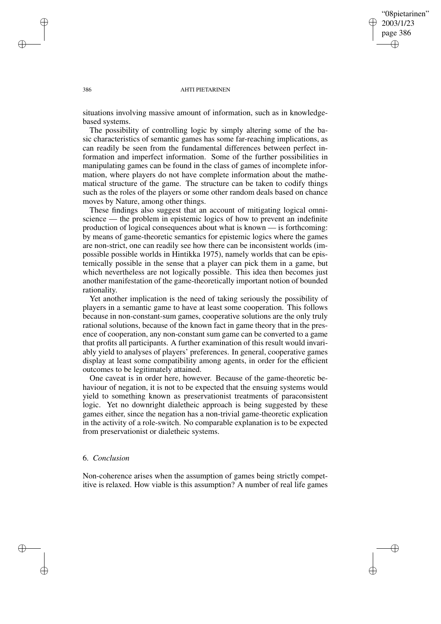✐

#### 386 AHTI PIETARINEN

situations involving massive amount of information, such as in knowledgebased systems.

The possibility of controlling logic by simply altering some of the basic characteristics of semantic games has some far-reaching implications, as can readily be seen from the fundamental differences between perfect information and imperfect information. Some of the further possibilities in manipulating games can be found in the class of games of incomplete information, where players do not have complete information about the mathematical structure of the game. The structure can be taken to codify things such as the roles of the players or some other random deals based on chance moves by Nature, among other things.

These findings also suggest that an account of mitigating logical omniscience — the problem in epistemic logics of how to prevent an indefinite production of logical consequences about what is known — is forthcoming: by means of game-theoretic semantics for epistemic logics where the games are non-strict, one can readily see how there can be inconsistent worlds (impossible possible worlds in Hintikka 1975), namely worlds that can be epistemically possible in the sense that a player can pick them in a game, but which nevertheless are not logically possible. This idea then becomes just another manifestation of the game-theoretically important notion of bounded rationality.

Yet another implication is the need of taking seriously the possibility of players in a semantic game to have at least some cooperation. This follows because in non-constant-sum games, cooperative solutions are the only truly rational solutions, because of the known fact in game theory that in the presence of cooperation, any non-constant sum game can be converted to a game that profits all participants. A further examination of this result would invariably yield to analyses of players' preferences. In general, cooperative games display at least some compatibility among agents, in order for the efficient outcomes to be legitimately attained.

One caveat is in order here, however. Because of the game-theoretic behaviour of negation, it is not to be expected that the ensuing systems would yield to something known as preservationist treatments of paraconsistent logic. Yet no downright dialetheic approach is being suggested by these games either, since the negation has a non-trivial game-theoretic explication in the activity of a role-switch. No comparable explanation is to be expected from preservationist or dialetheic systems.

## 6. *Conclusion*

✐

✐

Non-coherence arises when the assumption of games being strictly competitive is relaxed. How viable is this assumption? A number of real life games

✐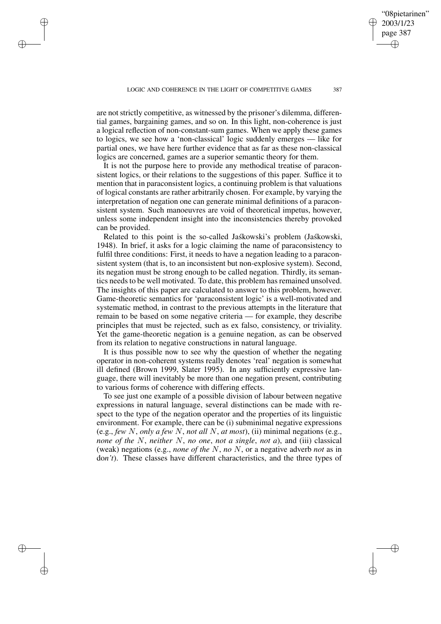are not strictly competitive, as witnessed by the prisoner's dilemma, differential games, bargaining games, and so on. In this light, non-coherence is just a logical reflection of non-constant-sum games. When we apply these games to logics, we see how a 'non-classical' logic suddenly emerges — like for partial ones, we have here further evidence that as far as these non-classical logics are concerned, games are a superior semantic theory for them.

✐

✐

✐

✐

It is not the purpose here to provide any methodical treatise of paraconsistent logics, or their relations to the suggestions of this paper. Suffice it to mention that in paraconsistent logics, a continuing problem is that valuations of logical constants are rather arbitrarily chosen. For example, by varying the interpretation of negation one can generate minimal definitions of a paraconsistent system. Such manoeuvres are void of theoretical impetus, however, unless some independent insight into the inconsistencies thereby provoked can be provided.

Related to this point is the so-called Jaskowski's problem (Jaskowski, 1948). In brief, it asks for a logic claiming the name of paraconsistency to fulfil three conditions: First, it needs to have a negation leading to a paraconsistent system (that is, to an inconsistent but non-explosive system). Second, its negation must be strong enough to be called negation. Thirdly, its semantics needs to be well motivated. To date, this problem has remained unsolved. The insights of this paper are calculated to answer to this problem, however. Game-theoretic semantics for 'paraconsistent logic' is a well-motivated and systematic method, in contrast to the previous attempts in the literature that remain to be based on some negative criteria — for example, they describe principles that must be rejected, such as ex falso, consistency, or triviality. Yet the game-theoretic negation is a genuine negation, as can be observed from its relation to negative constructions in natural language.

It is thus possible now to see why the question of whether the negating operator in non-coherent systems really denotes 'real' negation is somewhat ill defined (Brown 1999, Slater 1995). In any sufficiently expressive language, there will inevitably be more than one negation present, contributing to various forms of coherence with differing effects.

To see just one example of a possible division of labour between negative expressions in natural language, several distinctions can be made with respect to the type of the negation operator and the properties of its linguistic environment. For example, there can be (i) subminimal negative expressions (e.g., *few* N, *only a few* N, *not all* N, *at most*), (ii) minimal negations (e.g., *none of the* N, *neither* N, *no one*, *not a single*, *not a*), and (iii) classical (weak) negations (e.g., *none of the* N, *no* N, or a negative adverb *not* as in do*n't*). These classes have different characteristics, and the three types of

"08pietarinen" 2003/1/23 page 387

✐

✐

✐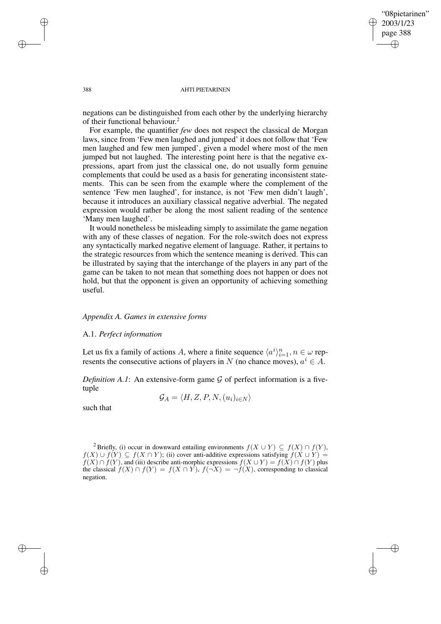✐

#### 388 AHTI PIETARINEN

negations can be distinguished from each other by the underlying hierarchy of their functional behaviour. 2

For example, the quantifier *few* does not respect the classical de Morgan laws, since from 'Few men laughed and jumped' it does not follow that 'Few men laughed and few men jumped', given a model where most of the men jumped but not laughed. The interesting point here is that the negative expressions, apart from just the classical one, do not usually form genuine complements that could be used as a basis for generating inconsistent statements. This can be seen from the example where the complement of the sentence 'Few men laughed', for instance, is not 'Few men didn't laugh', because it introduces an auxiliary classical negative adverbial. The negated expression would rather be along the most salient reading of the sentence 'Many men laughed'.

It would nonetheless be misleading simply to assimilate the game negation with any of these classes of negation. For the role-switch does not express any syntactically marked negative element of language. Rather, it pertains to the strategic resources from which the sentence meaning is derived. This can be illustrated by saying that the interchange of the players in any part of the game can be taken to not mean that something does not happen or does not hold, but that the opponent is given an opportunity of achieving something useful.

## *Appendix A. Games in extensive forms*

## A.1. *Perfect information*

Let us fix a family of actions A, where a finite sequence  $\langle a^i \rangle_{i=1}^n, n \in \omega$  represents the consecutive actions of players in N (no chance moves),  $a^i \in A$ .

*Definition*  $A.I$ : An extensive-form game  $G$  of perfect information is a fivetuple

$$
\mathcal{G}_A = \langle H, Z, P, N, (u_i)_{i \in N} \rangle
$$

such that

✐

✐

✐

<sup>&</sup>lt;sup>2</sup> Briefly, (i) occur in downward entailing environments  $f(X \cup Y) \subseteq f(X) \cap f(Y)$ ,  $f(X) \cup f(Y) \subseteq f(X \cap Y)$ ; (ii) cover anti-additive expressions satisfying  $f(X \cup Y) =$  $f(X) \cap f(Y)$ , and (iii) describe anti-morphic expressions  $f(X \cup Y) = f(X) \cap f(Y)$  plus the classical  $f(X) \cap f(Y) = f(X \cap Y)$ ,  $f(\neg X) = \neg f(X)$ , corresponding to classical negation.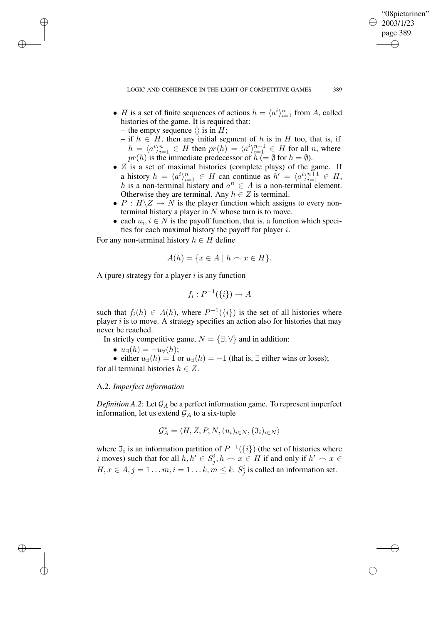"08pietarinen" 2003/1/23 page 389

✐

✐

✐

✐

- *H* is a set of finite sequences of actions  $h = \langle a^i \rangle_{i=1}^n$  from *A*, called histories of the game. It is required that:
	- the empty sequence  $\langle \rangle$  is in H;

✐

✐

✐

✐

- if  $h \in H$ , then any initial segment of h is in H too, that is, if  $h = \langle a^i \rangle_{i=1}^n \in H$  then  $pr(h) = \langle a^i \rangle_{i=1}^{n-1} \in H$  for all n, where  $pr(h)$  is the immediate predecessor of  $h \in \emptyset$  for  $h = \emptyset$ ).
- $\bullet$  Z is a set of maximal histories (complete plays) of the game. If a history  $h = \langle a^i \rangle_{i=1}^n \in H$  can continue as  $h' = \langle a^i \rangle_{i=1}^{n+1} \in H$ , h is a non-terminal history and  $a^n \in A$  is a non-terminal element. Otherwise they are terminal. Any  $h \in Z$  is terminal.
- $P : H \backslash Z \rightarrow N$  is the player function which assigns to every nonterminal history a player in  $N$  whose turn is to move.
- each  $u_i, i \in N$  is the payoff function, that is, a function which specifies for each maximal history the payoff for player  $i$ .

For any non-terminal history  $h \in H$  define

$$
A(h) = \{ x \in A \mid h \frown x \in H \}.
$$

A (pure) strategy for a player  $i$  is any function

$$
f_i: P^{-1}(\{i\}) \to A
$$

such that  $f_i(h) \in A(h)$ , where  $P^{-1}(\{i\})$  is the set of all histories where player  $i$  is to move. A strategy specifies an action also for histories that may never be reached.

In strictly competitive game,  $N = \{\exists, \forall\}$  and in addition:

- $u_{\exists}(h) = -u_{\forall}(h);$
- either  $u_{\exists}(h) = 1$  or  $u_{\exists}(h) = -1$  (that is,  $\exists$  either wins or loses); for all terminal histories  $h \in Z$ .

## A.2. *Imperfect information*

*Definition* A.2: Let  $\mathcal{G}_A$  be a perfect information game. To represent imperfect information, let us extend  $\mathcal{G}_A$  to a six-tuple

$$
\mathcal{G}^*_A = \langle H, Z, P, N, (u_i)_{i \in N}, (\mathfrak{I}_i)_{i \in N} \rangle
$$

where  $\mathfrak{I}_i$  is an information partition of  $P^{-1}(\{i\})$  (the set of histories where i moves) such that for all  $h, h' \in S_j^i$ ,  $h \subset x \in H$  if and only if  $h' \subset x \in$  $H, x \in A, j = 1 \dots m, i = 1 \dots k, m \le k$ .  $S_j^i$  is called an information set.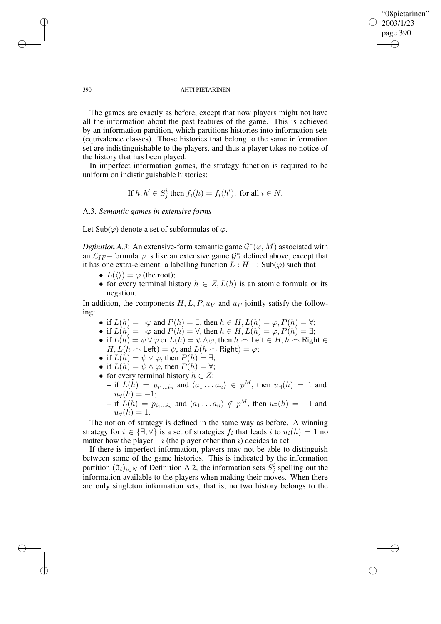## "08pietarinen" 2003/1/23 page 390 ✐ ✐

✐

✐

#### 390 AHTI PIETARINEN

The games are exactly as before, except that now players might not have all the information about the past features of the game. This is achieved by an information partition, which partitions histories into information sets (equivalence classes). Those histories that belong to the same information set are indistinguishable to the players, and thus a player takes no notice of the history that has been played.

In imperfect information games, the strategy function is required to be uniform on indistinguishable histories:

If 
$$
h, h' \in S_j^i
$$
 then  $f_i(h) = f_i(h')$ , for all  $i \in N$ .

A.3. *Semantic games in extensive forms*

Let Sub( $\varphi$ ) denote a set of subformulas of  $\varphi$ .

*Definition A.3*: An extensive-form semantic game  $\mathcal{G}^*(\varphi, M)$  associated with an  $\mathcal{L}_{IF}$  –formula  $\varphi$  is like an extensive game  $\mathcal{G}_{A}^{*}$  defined above, except that it has one extra-element: a labelling function  $L : H \to Sub(\varphi)$  such that

- $L(\langle \rangle) = \varphi$  (the root);
- for every terminal history  $h \in Z, L(h)$  is an atomic formula or its negation.

In addition, the components  $H, L, P, u_V$  and  $u_F$  jointly satisfy the following:

- if  $L(h) = \neg \varphi$  and  $P(h) = \exists$ , then  $h \in H$ ,  $L(h) = \varphi$ ,  $P(h) = \forall$ ;
- if  $L(h) = \neg \varphi$  and  $P(h) = \forall$ , then  $h \in H$ ,  $L(h) = \varphi$ ,  $P(h) = \exists$ ;
- if  $L(h) = \psi \vee \varphi$  or  $L(h) = \psi \wedge \varphi$ , then  $h \cap \text{Left} \in H, h \cap \text{Right} \in$  $H, L(h \cap \mathsf{Left}) = \psi$ , and  $L(h \cap \mathsf{Right}) = \varphi$ ;
- if  $L(h) = \psi \vee \varphi$ , then  $P(h) = \exists$ ;
- if  $L(h) = \psi \wedge \varphi$ , then  $P(h) = \forall$ ;
- for every terminal history  $h \in Z$ :
	- $-$  if  $L(h) = p_{i_1...i_n}$  and  $\langle a_1...a_n \rangle \in p^M$ , then  $u_∃(h) = 1$  and  $u_{\forall}(h) = -1;$
	- if  $L(h) = p_{i_1...i_n}$  and  $\langle a_1 ... a_n \rangle \notin p^M$ , then  $u_∃(h) = -1$  and  $u_{\forall}(h) = 1.$

The notion of strategy is defined in the same way as before. A winning strategy for  $i \in \{\exists, \forall\}$  is a set of strategies  $f_i$  that leads  $i$  to  $u_i(h) = 1$  no matter how the player  $-i$  (the player other than i) decides to act.

If there is imperfect information, players may not be able to distinguish between some of the game histories. This is indicated by the information partition  $(\mathfrak{I}_i)_{i\in N}$  of Definition A.2, the information sets  $\dot{S}_j^i$  spelling out the information available to the players when making their moves. When there are only singleton information sets, that is, no two history belongs to the

✐

✐

✐